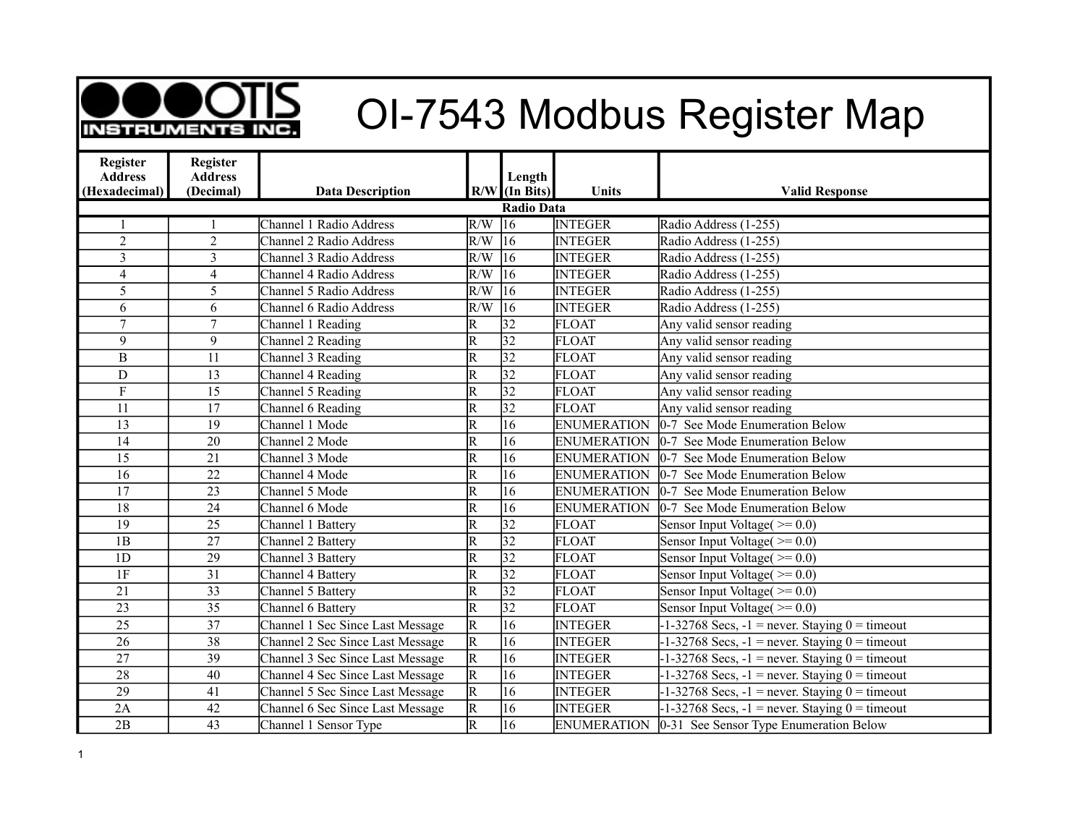

## **ORIGING CI-7543 Modbus Register Map**

| Register<br><b>Address</b> | <b>Register</b><br><b>Address</b> |                                  |                         |                           |                    |                                                      |  |  |  |
|----------------------------|-----------------------------------|----------------------------------|-------------------------|---------------------------|--------------------|------------------------------------------------------|--|--|--|
| (Hexadecimal)              | (Decimal)                         | <b>Data Description</b>          |                         | Length<br>$R/W$ (In Bits) | Units              | <b>Valid Response</b>                                |  |  |  |
| <b>Radio Data</b>          |                                   |                                  |                         |                           |                    |                                                      |  |  |  |
|                            |                                   | Channel 1 Radio Address          | R/W                     | $\overline{16}$           | <b>INTEGER</b>     | Radio Address (1-255)                                |  |  |  |
| $\overline{2}$             | $\overline{2}$                    | Channel 2 Radio Address          | R/W                     | $ 16\rangle$              | <b>INTEGER</b>     | Radio Address (1-255)                                |  |  |  |
| $\overline{\mathbf{3}}$    | $\overline{3}$                    | Channel 3 Radio Address          | R/W                     | 16                        | <b>INTEGER</b>     | Radio Address (1-255)                                |  |  |  |
| $\overline{4}$             | $\overline{\mathbf{4}}$           | Channel 4 Radio Address          | $\overline{\text{R/W}}$ | $\overline{16}$           | <b>INTEGER</b>     | Radio Address (1-255)                                |  |  |  |
| 5                          | 5                                 | Channel 5 Radio Address          | $\overline{\text{R/W}}$ | $\overline{16}$           | <b>INTEGER</b>     | Radio Address (1-255)                                |  |  |  |
| 6                          | 6                                 | Channel 6 Radio Address          | R/W                     | 16                        | <b>INTEGER</b>     | Radio Address (1-255)                                |  |  |  |
| $\overline{7}$             | $\tau$                            | Channel 1 Reading                | $\overline{\mathrm{R}}$ | 32                        | <b>FLOAT</b>       | Any valid sensor reading                             |  |  |  |
| 9                          | 9                                 | Channel 2 Reading                | $\overline{\mathsf{R}}$ | $\overline{32}$           | <b>FLOAT</b>       | Any valid sensor reading                             |  |  |  |
| $\, {\bf B}$               | 11                                | Channel 3 Reading                | $\overline{\mathsf{R}}$ | $\overline{32}$           | <b>FLOAT</b>       | Any valid sensor reading                             |  |  |  |
| $\mathbf D$                | 13                                | Channel 4 Reading                | $\overline{\mathsf{R}}$ | 32                        | <b>FLOAT</b>       | Any valid sensor reading                             |  |  |  |
| $\mathbf F$                | $\overline{15}$                   | Channel 5 Reading                | $\overline{\mathsf{R}}$ | $\overline{32}$           | <b>FLOAT</b>       | Any valid sensor reading                             |  |  |  |
| 11                         | 17                                | Channel 6 Reading                | $\overline{\mathsf{R}}$ | $\overline{32}$           | <b>FLOAT</b>       | Any valid sensor reading                             |  |  |  |
| 13                         | 19                                | Channel 1 Mode                   | $\overline{\mathsf{R}}$ | $\overline{16}$           | <b>ENUMERATION</b> | 0-7 See Mode Enumeration Below                       |  |  |  |
| 14                         | 20                                | Channel 2 Mode                   | $\overline{R}$          | 16                        | <b>ENUMERATION</b> | 0-7 See Mode Enumeration Below                       |  |  |  |
| $\overline{15}$            | 21                                | Channel 3 Mode                   | $\overline{\mathsf{R}}$ | $\overline{16}$           | <b>ENUMERATION</b> | 0-7 See Mode Enumeration Below                       |  |  |  |
| 16                         | 22                                | Channel 4 Mode                   | $\overline{\mathsf{R}}$ | 16                        | <b>ENUMERATION</b> | 0-7 See Mode Enumeration Below                       |  |  |  |
| 17                         | 23                                | Channel 5 Mode                   | $\overline{\mathrm{R}}$ | 16                        | <b>ENUMERATION</b> | 0-7 See Mode Enumeration Below                       |  |  |  |
| 18                         | 24                                | Channel 6 Mode                   | $\overline{\mathsf{R}}$ | 16                        | <b>ENUMERATION</b> | 0-7 See Mode Enumeration Below                       |  |  |  |
| $\overline{19}$            | 25                                | Channel 1 Battery                | $\overline{\mathsf{R}}$ | 32                        | <b>FLOAT</b>       | Sensor Input Voltage( $\geq 0.0$ )                   |  |  |  |
| 1B                         | 27                                | Channel 2 Battery                | R                       | 32                        | FLOAT              | Sensor Input Voltage $(>=0.0)$                       |  |  |  |
| 1D                         | 29                                | Channel 3 Battery                | $\overline{\mathtt{R}}$ | $\overline{32}$           | <b>FLOAT</b>       | Sensor Input Voltage $(>= 0.0)$                      |  |  |  |
| 1F                         | $\overline{31}$                   | Channel 4 Battery                | $\overline{\text{R}}$   | $\overline{32}$           | <b>FLOAT</b>       | Sensor Input Voltage $(>=0.0)$                       |  |  |  |
| $\overline{21}$            | $\overline{33}$                   | Channel 5 Battery                | $\overline{\mathsf{R}}$ | $\overline{32}$           | <b>FLOAT</b>       | Sensor Input Voltage $(>=0.0)$                       |  |  |  |
| 23                         | 35                                | Channel 6 Battery                | $\overline{\mathsf{R}}$ | $\overline{32}$           | <b>FLOAT</b>       | Sensor Input Voltage $(>=0.0)$                       |  |  |  |
| $\overline{25}$            | 37                                | Channel 1 Sec Since Last Message | $\overline{R}$          | $\overline{16}$           | <b>INTEGER</b>     | $-1-32768$ Secs, $-1$ = never. Staying $0 =$ timeout |  |  |  |
| $\overline{26}$            | $\overline{38}$                   | Channel 2 Sec Since Last Message | $\overline{R}$          | 16                        | <b>INTEGER</b>     | $-1-32768$ Secs, $-1$ = never. Staying $0 =$ timeout |  |  |  |
| 27                         | 39                                | Channel 3 Sec Since Last Message | $\overline{R}$          | 16                        | <b>INTEGER</b>     | $-1-32768$ Secs, $-1$ = never. Staying $0 =$ timeout |  |  |  |
| $\overline{28}$            | 40                                | Channel 4 Sec Since Last Message | $\overline{\mathrm{R}}$ | 16                        | <b>INTEGER</b>     | $-1-32768$ Secs, $-1$ = never. Staying $0 =$ timeout |  |  |  |
| 29                         | 41                                | Channel 5 Sec Since Last Message | $\overline{R}$          | 16                        | <b>INTEGER</b>     | $-1-32768$ Secs, $-1$ = never. Staying $0 =$ timeout |  |  |  |
| 2A                         | 42                                | Channel 6 Sec Since Last Message | $\overline{\mathsf{R}}$ | 16                        | <b>INTEGER</b>     | $-1-32768$ Secs, $-1$ = never. Staying $0 =$ timeout |  |  |  |
| 2B                         | $\overline{43}$                   | Channel 1 Sensor Type            | $\overline{\mathsf{R}}$ | $\overline{16}$           | <b>ENUMERATION</b> | 0-31 See Sensor Type Enumeration Below               |  |  |  |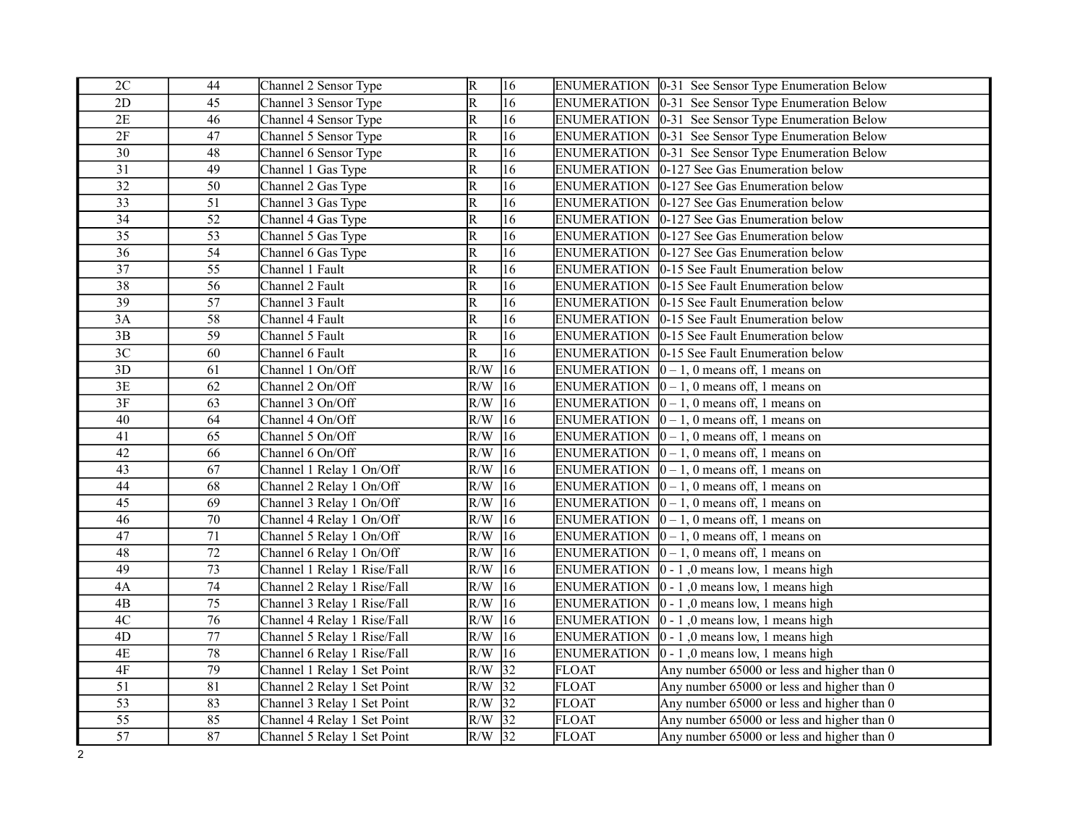| 2C              | 44              | Channel 2 Sensor Type       | $\overline{\mathsf{R}}$ | 16              |                    | ENUMERATION   0-31 See Sensor Type Enumeration Below     |
|-----------------|-----------------|-----------------------------|-------------------------|-----------------|--------------------|----------------------------------------------------------|
| 2D              | 45              | Channel 3 Sensor Type       | $\overline{\mathsf{R}}$ | 16              | <b>ENUMERATION</b> | 0-31 See Sensor Type Enumeration Below                   |
| 2E              | 46              | Channel 4 Sensor Type       | R                       | 16              |                    | ENUMERATION   0-31 See Sensor Type Enumeration Below     |
| 2F              | 47              | Channel 5 Sensor Type       | $\overline{\mathrm{R}}$ | 16              | <b>ENUMERATION</b> | 0-31 See Sensor Type Enumeration Below                   |
| 30              | 48              | Channel 6 Sensor Type       | $\overline{\mathsf{R}}$ | 16              | <b>ENUMERATION</b> | 0-31 See Sensor Type Enumeration Below                   |
| $\overline{31}$ | 49              | Channel 1 Gas Type          | $\overline{\mathsf{R}}$ | 16              | <b>ENUMERATION</b> | $ 0-127$ See Gas Enumeration below                       |
| $\overline{32}$ | 50              | Channel 2 Gas Type          | R                       | 16              |                    | ENUMERATION  0-127 See Gas Enumeration below             |
| $\overline{33}$ | $\overline{51}$ | Channel 3 Gas Type          | $\overline{\mathsf{R}}$ | $\overline{16}$ | <b>ENUMERATION</b> | $ 0-127$ See Gas Enumeration below                       |
| 34              | 52              | Channel 4 Gas Type          | $\overline{\mathrm{R}}$ | 16              | <b>ENUMERATION</b> | $ 0-127$ See Gas Enumeration below                       |
| $\overline{35}$ | $\overline{53}$ | Channel 5 Gas Type          | $\overline{R}$          | $\overline{16}$ | <b>ENUMERATION</b> | $ 0-127$ See Gas Enumeration below                       |
| 36              | 54              | Channel 6 Gas Type          | $\overline{\mathrm{R}}$ | 16              | <b>ENUMERATION</b> | $ 0-127\rangle$ See Gas Enumeration below                |
| $\overline{37}$ | 55              | Channel 1 Fault             | R                       | $\overline{16}$ | <b>ENUMERATION</b> | 0-15 See Fault Enumeration below                         |
| 38              | 56              | Channel 2 Fault             | R                       | 16              | <b>ENUMERATION</b> | 0-15 See Fault Enumeration below                         |
| 39              | 57              | Channel 3 Fault             | R                       | 16              | <b>ENUMERATION</b> | 0-15 See Fault Enumeration below                         |
| 3A              | 58              | Channel 4 Fault             | $\overline{\mathsf{R}}$ | 16              | <b>ENUMERATION</b> | 0-15 See Fault Enumeration below                         |
| 3B              | 59              | Channel 5 Fault             | $\overline{\mathrm{R}}$ | 16              | <b>ENUMERATION</b> | 0-15 See Fault Enumeration below                         |
| 3 <sup>C</sup>  | 60              | Channel 6 Fault             | $\overline{\mathsf{R}}$ | 16              | <b>ENUMERATION</b> | 0-15 See Fault Enumeration below                         |
| 3D              | 61              | Channel 1 On/Off            | R/W                     | $ 16\rangle$    |                    | ENUMERATION $\vert 0-1, 0 \rangle$ means off, 1 means on |
| 3E              | 62              | Channel 2 On/Off            | R/W                     | $ 16\rangle$    | <b>ENUMERATION</b> | $ 0-1, 0$ means off, 1 means on                          |
| $3\mathrm{F}$   | 63              | Channel 3 On/Off            | R/W                     | $ 16\rangle$    |                    | ENUMERATION $\vert 0-1, 0 \rangle$ means off, 1 means on |
| 40              | 64              | Channel 4 On/Off            | R/W                     | 16              | <b>ENUMERATION</b> | $ 0-1, 0$ means off, 1 means on                          |
| 41              | 65              | Channel 5 On/Off            | R/W                     | $ 16\rangle$    |                    | ENUMERATION $\vert 0-1, 0 \rangle$ means off, 1 means on |
| 42              | 66              | Channel 6 On/Off            | R/W                     | $ 16\rangle$    |                    | ENUMERATION $\vert 0-1, 0 \rangle$ means off, 1 means on |
| 43              | 67              | Channel 1 Relay 1 On/Off    | R/W                     | $ 16\rangle$    |                    | ENUMERATION $\vert 0-1, 0 \rangle$ means off, 1 means on |
| 44              | 68              | Channel 2 Relay 1 On/Off    | R/W                     | 16              |                    | ENUMERATION $\vert 0-1, 0 \rangle$ means off, 1 means on |
| 45              | 69              | Channel 3 Relay 1 On/Off    | $R/W$ 16                |                 |                    | ENUMERATION $\vert 0-1, 0 \rangle$ means off, 1 means on |
| 46              | 70              | Channel 4 Relay 1 On/Off    | $R/W$ 16                |                 | <b>ENUMERATION</b> | $ 0-1, 0$ means off, 1 means on                          |
| 47              | 71              | Channel 5 Relay 1 On/Off    | $R/W$ 16                |                 | <b>ENUMERATION</b> | $ 0-1, 0$ means off, 1 means on                          |
| 48              | $72\,$          | Channel 6 Relay 1 On/Off    | $R/W$ 16                |                 | <b>ENUMERATION</b> | $ 0-1, 0$ means off, 1 means on                          |
| 49              | 73              | Channel 1 Relay 1 Rise/Fall | $R/W$ 16                |                 | <b>ENUMERATION</b> | $ 0 - 1 $ , 0 means low, 1 means high                    |
| 4A              | 74              | Channel 2 Relay 1 Rise/Fall | $R/W$ 16                |                 | <b>ENUMERATION</b> | $ 0 - 1 $ , 0 means low, 1 means high                    |
| 4B              | 75              | Channel 3 Relay 1 Rise/Fall | $R/W$ 16                |                 | <b>ENUMERATION</b> | $ 0 - 1 $ , 0 means low, 1 means high                    |
| 4C              | $\overline{76}$ | Channel 4 Relay 1 Rise/Fall | $R/W$ 16                |                 | <b>ENUMERATION</b> | $ 0 - 1 $ , 0 means low, 1 means high                    |
| 4D              | 77              | Channel 5 Relay 1 Rise/Fall | $R/W$ 16                |                 | <b>ENUMERATION</b> | $ 0 - 1 $ , 0 means low, 1 means high                    |
| $4\mathrm{E}$   | $\overline{78}$ | Channel 6 Relay 1 Rise/Fall | R/W                     | $\sqrt{16}$     | <b>ENUMERATION</b> | $ 0 - 1 $ , 0 means low, 1 means high                    |
| $4\mathrm{F}$   | 79              | Channel 1 Relay 1 Set Point | $R/W$ 32                |                 | <b>FLOAT</b>       | Any number 65000 or less and higher than 0               |
| 51              | 81              | Channel 2 Relay 1 Set Point | $R/W$ 32                |                 | <b>FLOAT</b>       | Any number 65000 or less and higher than 0               |
| $\overline{53}$ | 83              | Channel 3 Relay 1 Set Point | $R/W$ 32                |                 | <b>FLOAT</b>       | Any number 65000 or less and higher than 0               |
| $\overline{55}$ | 85              | Channel 4 Relay 1 Set Point | $R/W$ 32                |                 | <b>FLOAT</b>       | Any number 65000 or less and higher than 0               |
| $\overline{57}$ | 87              | Channel 5 Relay 1 Set Point | $R/W$ 32                |                 | <b>FLOAT</b>       | Any number 65000 or less and higher than 0               |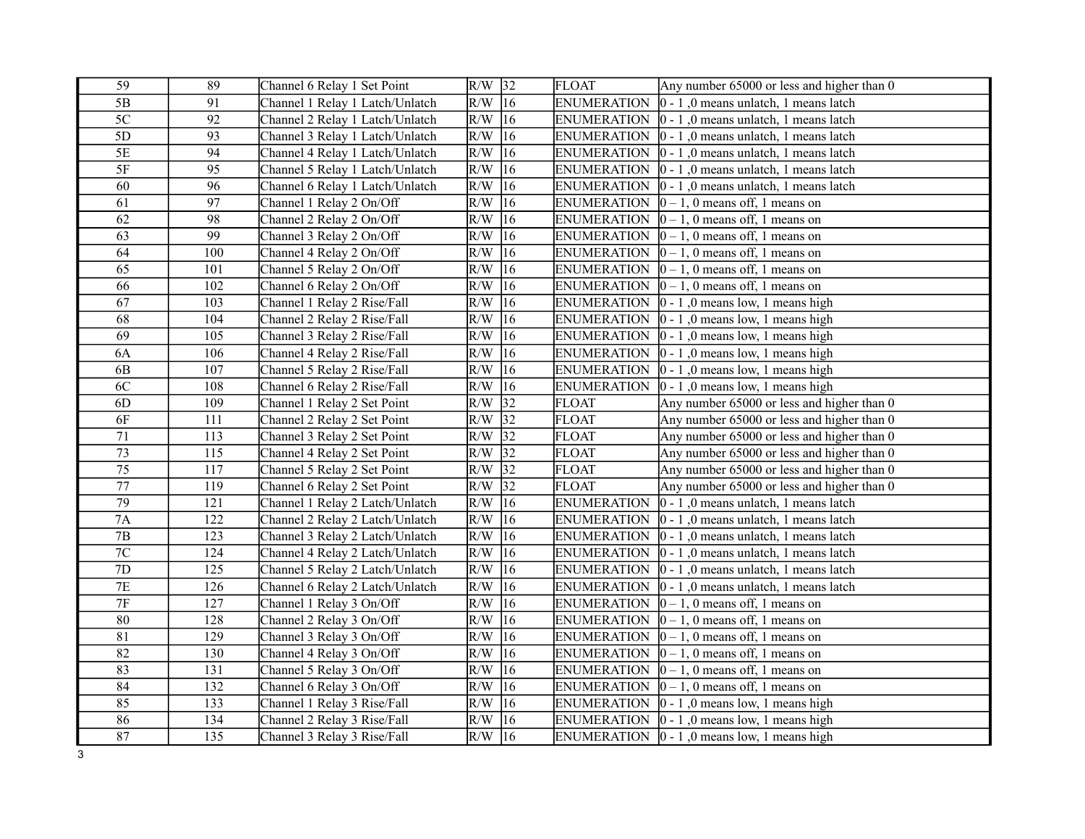| 59              | 89  | Channel 6 Relay 1 Set Point     | $R/W$ 32         |                 | <b>FLOAT</b>       | Any number $65000$ or less and higher than $0$              |
|-----------------|-----|---------------------------------|------------------|-----------------|--------------------|-------------------------------------------------------------|
| 5B              | 91  | Channel 1 Relay 1 Latch/Unlatch | $R/W$ 16         |                 | <b>ENUMERATION</b> | $ 0 - 1 $ , 0 means unlatch, 1 means latch                  |
| 5C              | 92  | Channel 2 Relay 1 Latch/Unlatch | $R/W$ 16         |                 | <b>ENUMERATION</b> | $ 0 - 1 $ , 0 means unlatch, 1 means latch                  |
| 5D              | 93  | Channel 3 Relay 1 Latch/Unlatch | R/W              | 16              | <b>ENUMERATION</b> | $ 0 - 1 $ , 0 means unlatch, 1 means latch                  |
| $5\mathrm{E}$   | 94  | Channel 4 Relay 1 Latch/Unlatch | R/W              | 16              | <b>ENUMERATION</b> | $ 0 - 1 $ , 0 means unlatch, 1 means latch                  |
| $5F$            | 95  | Channel 5 Relay 1 Latch/Unlatch | R/W              | 16              | <b>ENUMERATION</b> | $ 0 - 1 $ , 0 means unlatch, 1 means latch                  |
| 60              | 96  | Channel 6 Relay 1 Latch/Unlatch | R/W              | 16              | <b>ENUMERATION</b> | $ 0 - 1 $ , 0 means unlatch, 1 means latch                  |
| 61              | 97  | Channel 1 Relay 2 On/Off        | R/W              | $ 16\rangle$    | <b>ENUMERATION</b> | $ 0-1, 0$ means off, 1 means on                             |
| 62              | 98  | Channel 2 Relay 2 On/Off        | R/W              | $ 16\rangle$    | <b>ENUMERATION</b> | $ 0-1, 0$ means off, 1 means on                             |
| 63              | 99  | Channel 3 Relay 2 On/Off        | R/W              | 16              | <b>ENUMERATION</b> | $ 0-1, 0$ means off, 1 means on                             |
| 64              | 100 | Channel 4 Relay 2 On/Off        | R/W              | 16              | <b>ENUMERATION</b> | $ 0-1, 0$ means off, 1 means on                             |
| 65              | 101 | Channel 5 Relay 2 On/Off        | R/W              | 16              | <b>ENUMERATION</b> | $ 0-1, 0$ means off, 1 means on                             |
| 66              | 102 | Channel 6 Relay 2 On/Off        | R/W              | $ 16\rangle$    | <b>ENUMERATION</b> | $ 0-1, 0$ means off, 1 means on                             |
| 67              | 103 | Channel 1 Relay 2 Rise/Fall     | R/W              | 16              | <b>ENUMERATION</b> | $ 0 - 1 $ , 0 means low, 1 means high                       |
| 68              | 104 | Channel 2 Relay 2 Rise/Fall     | R/W              | $ 16\rangle$    | <b>ENUMERATION</b> | $ 0 - 1 $ , 0 means low, 1 means high                       |
| 69              | 105 | Channel 3 Relay 2 Rise/Fall     | R/W              | $ 16\rangle$    | <b>ENUMERATION</b> | $ 0 - 1 $ , 0 means low, 1 means high                       |
| <b>6A</b>       | 106 | Channel 4 Relay 2 Rise/Fall     | R/W              | $ 16\rangle$    | <b>ENUMERATION</b> | $ 0 - 1 $ , 0 means low, 1 means high                       |
| 6 <b>B</b>      | 107 | Channel 5 Relay 2 Rise/Fall     | R/W              | 16              | <b>ENUMERATION</b> | $ 0 - 1 $ , 0 means low, 1 means high                       |
| 6C              | 108 | Channel 6 Relay 2 Rise/Fall     | $\overline{R/W}$ | 16              | <b>ENUMERATION</b> | $ 0 - 1 $ , 0 means low, 1 means high                       |
| 6D              | 109 | Channel 1 Relay 2 Set Point     | R/W              | 32              | <b>FLOAT</b>       | Any number $65000$ or less and higher than 0                |
| 6F              | 111 | Channel 2 Relay 2 Set Point     | R/W              | 32              | <b>FLOAT</b>       | Any number $65000$ or less and higher than 0                |
| 71              | 113 | Channel 3 Relay 2 Set Point     | R/W              | 32              | <b>FLOAT</b>       | Any number 65000 or less and higher than 0                  |
| 73              | 115 | Channel 4 Relay 2 Set Point     | $R/W$ 32         |                 | <b>FLOAT</b>       | Any number 65000 or less and higher than 0                  |
| $\overline{75}$ | 117 | Channel 5 Relay 2 Set Point     | R/W              | $\sqrt{32}$     | <b>FLOAT</b>       | Any number 65000 or less and higher than 0                  |
| 77              | 119 | Channel 6 Relay 2 Set Point     | R/W              | $\overline{32}$ | <b>FLOAT</b>       | Any number 65000 or less and higher than 0                  |
| 79              | 121 | Channel 1 Relay 2 Latch/Unlatch | R/W              | $ 16\rangle$    | <b>ENUMERATION</b> | $ 0 - 1 $ , 0 means unlatch, 1 means latch                  |
| 7A              | 122 | Channel 2 Relay 2 Latch/Unlatch | R/W              | $ 16\rangle$    | <b>ENUMERATION</b> | $ 0 - 1 $ , 0 means unlatch, 1 means latch                  |
| $7\mathrm{B}$   | 123 | Channel 3 Relay 2 Latch/Unlatch | R/W              | $ 16\rangle$    | <b>ENUMERATION</b> | $ 0 - 1 $ , 0 means unlatch, 1 means latch                  |
| $7\mathrm{C}$   | 124 | Channel 4 Relay 2 Latch/Unlatch | R/W              | $ 16\rangle$    | <b>ENUMERATION</b> | $ 0 - 1 $ , 0 means unlatch, 1 means latch                  |
| $7\mathrm{D}$   | 125 | Channel 5 Relay 2 Latch/Unlatch | $R/W$ 16         |                 | <b>ENUMERATION</b> | $ 0 - 1 $ , 0 means unlatch, 1 means latch                  |
| 7E              | 126 | Channel 6 Relay 2 Latch/Unlatch | $R/W$ 16         |                 | <b>ENUMERATION</b> | $ 0 - 1 $ , 0 means unlatch, 1 means latch                  |
| $7\mathrm{F}$   | 127 | Channel 1 Relay 3 On/Off        | R/W              | $ 16\rangle$    | <b>ENUMERATION</b> | $ 0-1, 0$ means off, 1 means on                             |
| $\overline{80}$ | 128 | Channel 2 Relay 3 On/Off        | R/W              | $ 16\rangle$    | <b>ENUMERATION</b> | $ 0-1, 0$ means off, 1 means on                             |
| 81              | 129 | Channel 3 Relay 3 On/Off        | R/W              | 16              | <b>ENUMERATION</b> | $ 0-1, 0$ means off, 1 means on                             |
| $\overline{82}$ | 130 | Channel 4 Relay 3 On/Off        | R/W              | 16              | <b>ENUMERATION</b> | $ 0-1, 0$ means off, 1 means on                             |
| 83              | 131 | Channel 5 Relay 3 On/Off        | R/W              | 16              | <b>ENUMERATION</b> | $ 0-1, 0$ means off, 1 means on                             |
| $\overline{84}$ | 132 | Channel 6 Relay 3 On/Off        | R/W              | 16              | <b>ENUMERATION</b> | $ 0-1, 0$ means off, 1 means on                             |
| 85              | 133 | Channel 1 Relay 3 Rise/Fall     | $R/W$  16        |                 | <b>ENUMERATION</b> | $ 0 - 1 $ , 0 means low, 1 means high                       |
| 86              | 134 | Channel 2 Relay 3 Rise/Fall     | R/W              | $ 16\rangle$    | <b>ENUMERATION</b> | $ 0 - 1 $ , 0 means low, 1 means high                       |
| 87              | 135 | Channel 3 Relay 3 Rise/Fall     | $R/W$ 16         |                 |                    | ENUMERATION $\vert 0 - 1 \vert$ , 0 means low, 1 means high |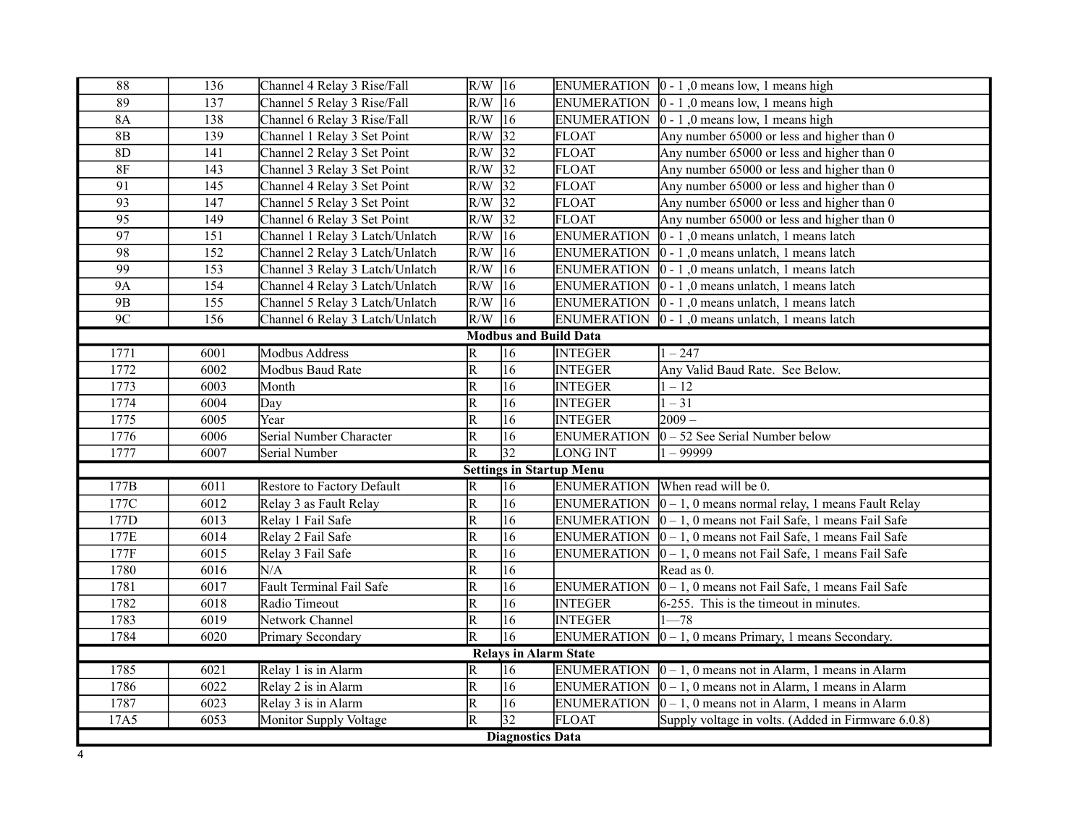| $\overline{\bf 88}$ | 136  | Channel 4 Relay 3 Rise/Fall     | $R/W$ 16                |                              |                                 | ENUMERATION $\vert 0 - 1 \vert$ , 0 means low, 1 means high             |  |
|---------------------|------|---------------------------------|-------------------------|------------------------------|---------------------------------|-------------------------------------------------------------------------|--|
| $\overline{89}$     | 137  | Channel 5 Relay 3 Rise/Fall     | $R/W$ 16                |                              |                                 | ENUMERATION $\vert 0 - 1 \vert$ , 0 means low, 1 means high             |  |
| <b>8A</b>           | 138  | Channel 6 Relay 3 Rise/Fall     | $R/W$ 16                |                              |                                 | ENUMERATION $\vert 0 - 1 \vert$ , 0 means low, 1 means high             |  |
| $8\mathrm{B}$       | 139  | Channel 1 Relay 3 Set Point     | $R/W$ 32                |                              | <b>FLOAT</b>                    | Any number 65000 or less and higher than 0                              |  |
| 8D                  | 141  | Channel 2 Relay 3 Set Point     | $R/W$ 32                |                              | <b>FLOAT</b>                    | Any number $65000$ or less and higher than 0                            |  |
| $8\mathrm{F}$       | 143  | Channel 3 Relay 3 Set Point     | $R/W$ 32                |                              | <b>FLOAT</b>                    | Any number $65000$ or less and higher than 0                            |  |
| 91                  | 145  | Channel 4 Relay 3 Set Point     | $R/W$ 32                |                              | <b>FLOAT</b>                    | Any number $65000$ or less and higher than 0                            |  |
| $\overline{93}$     | 147  | Channel 5 Relay 3 Set Point     | $R/W$ 32                |                              | <b>FLOAT</b>                    | Any number 65000 or less and higher than 0                              |  |
| 95                  | 149  | Channel 6 Relay 3 Set Point     | $R/W$ 32                |                              | <b>FLOAT</b>                    | Any number $65000$ or less and higher than 0                            |  |
| 97                  | 151  | Channel 1 Relay 3 Latch/Unlatch | $R/W$ 16                |                              | <b>ENUMERATION</b>              | $ 0 - 1 $ , 0 means unlatch, 1 means latch                              |  |
| 98                  | 152  | Channel 2 Relay 3 Latch/Unlatch | $R/W$ 16                |                              | <b>ENUMERATION</b>              | 0 - 1,0 means unlatch, 1 means latch                                    |  |
| $\overline{99}$     | 153  | Channel 3 Relay 3 Latch/Unlatch | $R/W$ 16                |                              | <b>ENUMERATION</b>              | $ 0 - 1 $ , 0 means unlatch, 1 means latch                              |  |
| <b>9A</b>           | 154  | Channel 4 Relay 3 Latch/Unlatch | $R/W$ 16                |                              | <b>ENUMERATION</b>              | $ 0 - 1 $ , 0 means unlatch, 1 means latch                              |  |
| 9B                  | 155  | Channel 5 Relay 3 Latch/Unlatch | $R/W$ 16                |                              | <b>ENUMERATION</b>              | $ 0 - 1 $ , 0 means unlatch, 1 means latch                              |  |
| 9C                  | 156  | Channel 6 Relay 3 Latch/Unlatch | $R/W$ 16                |                              |                                 | ENUMERATION $\vert 0 - 1 \vert$ , 0 means unlatch, 1 means latch        |  |
|                     |      |                                 |                         |                              | <b>Modbus and Build Data</b>    |                                                                         |  |
| 1771                | 6001 | <b>Modbus Address</b>           | $\overline{\mathsf{R}}$ | 16                           | <b>INTEGER</b>                  | $1 - 247$                                                               |  |
| 1772                | 6002 | Modbus Baud Rate                | R                       | 16                           | <b>INTEGER</b>                  | Any Valid Baud Rate. See Below.                                         |  |
| 1773                | 6003 | Month                           | $\overline{\mathsf{R}}$ | 16                           | <b>INTEGER</b>                  | $ 1 - 12 $                                                              |  |
| 1774                | 6004 | Day                             | $\overline{\mathsf{R}}$ | 16                           | <b>INTEGER</b>                  | $ 1 - 31 $                                                              |  |
| 1775                | 6005 | Year                            | $\overline{\mathsf{R}}$ | $\overline{16}$              | <b>INTEGER</b>                  | $2009 -$                                                                |  |
| 1776                | 6006 | Serial Number Character         | R                       | 16                           | <b>ENUMERATION</b>              | $ 0 - 52$ See Serial Number below                                       |  |
| 1777                | 6007 | Serial Number                   | $\overline{\mathsf{R}}$ | $\overline{32}$              | <b>LONG INT</b>                 | 11 – 99999                                                              |  |
|                     |      |                                 |                         |                              | <b>Settings in Startup Menu</b> |                                                                         |  |
| 177B                | 6011 | Restore to Factory Default      | $\overline{R}$          | $\overline{16}$              |                                 | ENUMERATION When read will be 0.                                        |  |
| 177C                | 6012 | Relay 3 as Fault Relay          | R                       | 16                           | <b>ENUMERATION</b>              | $ 0 - 1, 0$ means normal relay, 1 means Fault Relay                     |  |
| 177D                | 6013 | Relay 1 Fail Safe               | $\overline{\mathsf{R}}$ | 16                           | <b>ENUMERATION</b>              | $ 0 - 1$ , 0 means not Fail Safe, 1 means Fail Safe                     |  |
| 177E                | 6014 | Relay 2 Fail Safe               | $\overline{\mathsf{R}}$ | 16                           | <b>ENUMERATION</b>              | $ 0 - 1$ , 0 means not Fail Safe, 1 means Fail Safe                     |  |
| 177F                | 6015 | Relay 3 Fail Safe               | $\overline{\mathsf{R}}$ | 16                           | ENUMERATION                     | $ 0 - 1, 0$ means not Fail Safe, 1 means Fail Safe                      |  |
| 1780                | 6016 | N/A                             | $\overline{\mathsf{R}}$ | $\overline{16}$              |                                 | Read as 0.                                                              |  |
| 1781                | 6017 | Fault Terminal Fail Safe        | R                       | 16                           | <b>ENUMERATION</b>              | $ 0 - 1$ , 0 means not Fail Safe, 1 means Fail Safe                     |  |
| 1782                | 6018 | Radio Timeout                   | R                       | 16                           | <b>INTEGER</b>                  | 6-255. This is the timeout in minutes.                                  |  |
| 1783                | 6019 | Network Channel                 | R                       | 16                           | <b>INTEGER</b>                  | $1 - 78$                                                                |  |
| 1784                | 6020 | Primary Secondary               | $\overline{\mathsf{R}}$ | 16                           | <b>ENUMERATION</b>              | $ 0 - 1$ , 0 means Primary, 1 means Secondary.                          |  |
|                     |      |                                 |                         | <b>Relays in Alarm State</b> |                                 |                                                                         |  |
| 1785                | 6021 | Relay 1 is in Alarm             | $\overline{\mathbb{R}}$ | $\overline{16}$              |                                 | ENUMERATION $\vert 0-1, 0 \rangle$ means not in Alarm, 1 means in Alarm |  |
| 1786                | 6022 | Relay 2 is in Alarm             | $\overline{\mathrm{R}}$ | 16                           |                                 | ENUMERATION $\vert 0-1, 0 \vert$ means not in Alarm, 1 means in Alarm   |  |
| 1787                | 6023 | Relay 3 is in Alarm             | $\overline{\mathbb{R}}$ | $\overline{16}$              | <b>ENUMERATION</b>              | $ 0-1, 0 $ means not in Alarm, 1 means in Alarm                         |  |
| 17A5                | 6053 | Monitor Supply Voltage          | R                       | $\overline{32}$              | <b>FLOAT</b>                    | Supply voltage in volts. (Added in Firmware 6.0.8)                      |  |
|                     |      |                                 |                         | <b>Diagnostics Data</b>      |                                 |                                                                         |  |
| 4                   |      |                                 |                         |                              |                                 |                                                                         |  |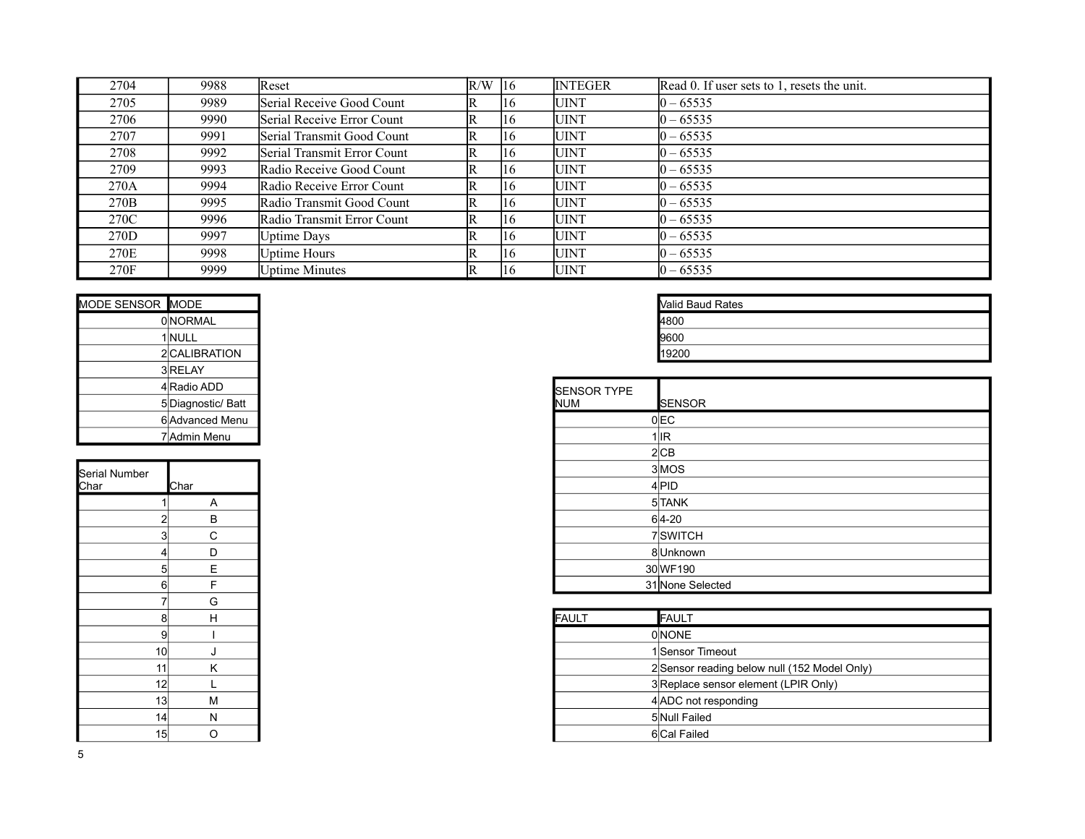| 2704             | 9988 | Reset                       | $R/W$ 16 |                | <b>INTEGER</b> | Read 0. If user sets to 1, resets the unit. |
|------------------|------|-----------------------------|----------|----------------|----------------|---------------------------------------------|
| 2705             | 9989 | Serial Receive Good Count   | R        | I16            | <b>UINT</b>    | $10 - 65535$                                |
| 2706             | 9990 | Serial Receive Error Count  | R        | <sup>116</sup> | <b>UINT</b>    | $ 0 - 65535 $                               |
| 2707             | 9991 | Serial Transmit Good Count  | R        | 116            | <b>UINT</b>    | $ 0 - 65535 $                               |
| 2708             | 9992 | Serial Transmit Error Count | R        | 116            | <b>UINT</b>    | $ 0 - 65535 $                               |
| 2709             | 9993 | Radio Receive Good Count    | R        | 116            | <b>UINT</b>    | $10 - 65535$                                |
| 270A             | 9994 | Radio Receive Error Count   | R        | 116            | <b>UINT</b>    | $ 0 - 65535 $                               |
| 270 <sub>B</sub> | 9995 | Radio Transmit Good Count   | R        | I16            | <b>UINT</b>    | $ 0 - 65535 $                               |
| 270C             | 9996 | Radio Transmit Error Count  | R        | 116            | <b>UINT</b>    | $ 0 - 65535 $                               |
| 270D             | 9997 | <b>Uptime Days</b>          | R        | I16            | <b>UINT</b>    | $10 - 65535$                                |
| 270E             | 9998 | Uptime Hours                |          | I16            | <b>UINT</b>    | $ 0 - 65535 $                               |
| 270F             | 9999 | <b>Uptime Minutes</b>       | R        | 116            | <b>UINT</b>    | $ 0 - 65535 $                               |

| MODE SENSOR MODE |                    |                    | <b>Nalid Baud Rates</b> |
|------------------|--------------------|--------------------|-------------------------|
|                  | <b>ONORMAL</b>     |                    | 4800                    |
|                  | 1 NULL             |                    | 9600                    |
|                  | 2 CALIBRATION      |                    | 19200                   |
|                  | 3 RELAY            |                    |                         |
|                  | 4 Radio ADD        | <b>SENSOR TYPE</b> |                         |
|                  | 5 Diagnostic/ Batt | <b>NUM</b>         | <b>ISENSOR</b>          |
|                  | 6 Advanced Menu    |                    | $0$ <sub>EC</sub>       |
|                  | 7 Admin Menu       |                    | 1llR                    |

| <b>Serial Number</b><br>Char | Char |
|------------------------------|------|
| 1                            | A    |
| $\overline{\mathbf{c}}$      | B    |
| 3                            | C    |
| 4                            | D    |
| 5                            | E    |
| 6                            | F    |
| 7                            | G    |
| 8                            | H    |
| 9                            | ı    |
| 10                           | J    |
| 11                           | K    |
| 12                           | L    |
| 13                           | M    |
| 14                           | N    |
| 15                           | O    |

| <b>Valid Baud Rates</b> |  |
|-------------------------|--|
|                         |  |
| 9600                    |  |
| 19200                   |  |

|                 |   | FAULT | <b>FAULT</b>                                 |
|-----------------|---|-------|----------------------------------------------|
| 9               |   |       | <b>ONONE</b>                                 |
| 10 <sup>1</sup> |   |       | 1 Sensor Timeout                             |
| 11              |   |       | 2 Sensor reading below null (152 Model Only) |
| 12 <sub>1</sub> |   |       | 3 Replace sensor element (LPIR Only)         |
| 13 <sup>1</sup> | м |       | 4 ADC not responding                         |
| 4               |   |       | 5Null Failed                                 |
| 15 <sup>2</sup> |   |       | 6 Cal Failed                                 |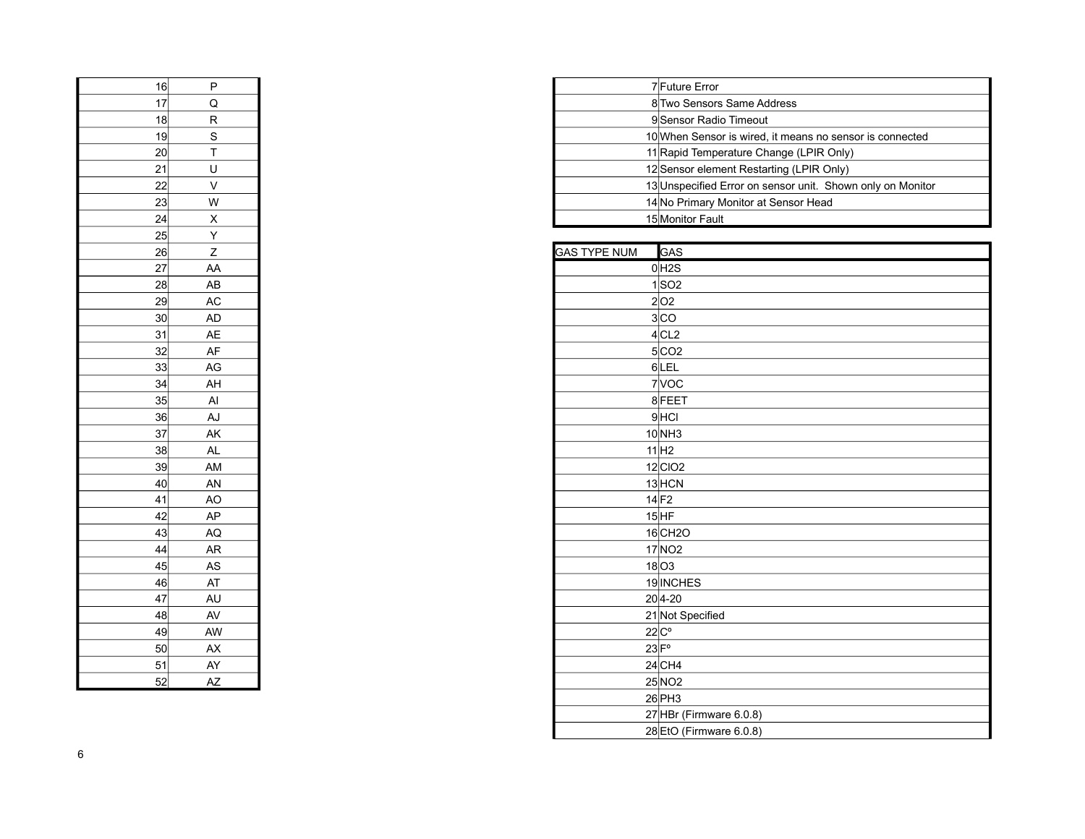| 16 | Ρ              |
|----|----------------|
| 17 | Q              |
| 18 | R              |
| 19 | S              |
| 20 | T              |
| 21 | U              |
| 22 | V              |
| 23 | W              |
| 24 | X              |
| 25 | Y              |
| 26 | $\overline{z}$ |
| 27 | AA             |
| 28 | AB             |
| 29 | AC             |
| 30 | AD             |
| 31 | AE             |
| 32 | AF             |
| 33 | AG             |
| 34 | AH             |
| 35 | Al             |
| 36 | AJ             |
| 37 | AK             |
| 38 | <b>AL</b>      |
| 39 | AM             |
| 40 | AN             |
| 41 | AO             |
| 42 | AP             |
| 43 | AQ             |
| 44 | AR             |
| 45 | AS             |
| 46 | AT             |
| 47 | AU             |
| 48 | AV             |
| 49 | AW             |
| 50 | AX             |
| 51 | AY             |
| 52 | AZ             |

| D |  | <b>7</b> Future Error                                      |
|---|--|------------------------------------------------------------|
| Q |  | 8 Two Sensors Same Address                                 |
| R |  | 9 Sensor Radio Timeout                                     |
| S |  | 10 When Sensor is wired, it means no sensor is connected   |
|   |  | 11 Rapid Temperature Change (LPIR Only)                    |
| U |  | 12 Sensor element Restarting (LPIR Only)                   |
|   |  | 13 Unspecified Error on sensor unit. Shown only on Monitor |
| W |  | 14 No Primary Monitor at Sensor Head                       |
| X |  | 15 Monitor Fault                                           |

| ≕                                                        | . .                    |                     |                         |
|----------------------------------------------------------|------------------------|---------------------|-------------------------|
|                                                          | Ζ                      | <b>GAS TYPE NUM</b> | GAS                     |
|                                                          | AA                     |                     | $0$ H <sub>2</sub> S    |
|                                                          | AB                     |                     | $1$ SO <sub>2</sub>     |
|                                                          | AC                     |                     | 2 02                    |
|                                                          | AD                     |                     | 3 CO                    |
| 26<br>27<br>28<br>29<br>30<br>31<br>32<br>33<br>33<br>34 | AE                     |                     | 4CL2                    |
|                                                          | AF                     |                     | $5$ CO <sub>2</sub>     |
|                                                          | AG                     |                     | 6LEL                    |
|                                                          | AH                     |                     | 7 VOC                   |
| 35<br>36                                                 | Al                     |                     | 8FEET                   |
|                                                          | AJ                     |                     | $9$ $HCl$               |
| $\overline{\frac{37}{}}$                                 | AK                     |                     | 10 <sub>NH3</sub>       |
| $\overline{38}$                                          | <b>AL</b>              |                     | 11 H2                   |
| $\frac{39}{2}$                                           | AM                     |                     | $12$ CIO <sub>2</sub>   |
| 40                                                       | AN                     |                     | 13 HCN                  |
|                                                          | AO                     |                     | $14$ F <sub>2</sub>     |
| $\begin{array}{c} 41 \\ 42 \end{array}$                  | AP                     |                     | $15$ $HF$               |
|                                                          | AQ                     |                     | 16 CH <sub>2</sub> O    |
| $\begin{array}{c} 43 \\ 44 \end{array}$                  | <b>AR</b>              |                     | 17 NO <sub>2</sub>      |
| $\frac{45}{}$                                            | AS                     |                     | $18$ O3                 |
| 46                                                       | AT                     |                     | 19 INCHES               |
| $\frac{47}{1}$                                           | AU                     |                     | $20 4-20$               |
| 48                                                       | AV                     |                     | 21 Not Specified        |
|                                                          | AW                     |                     | $22C^{\circ}$           |
| $\frac{49}{50}$<br>$\frac{51}{52}$                       | AX                     |                     | $23$ $Fo$               |
|                                                          | AY                     |                     | $24$ CH4                |
|                                                          | $\mathsf{A}\mathsf{Z}$ |                     | 25 NO <sub>2</sub>      |
|                                                          |                        |                     | $26$ PH3                |
|                                                          |                        |                     | 27 HBr (Firmware 6.0.8) |
|                                                          |                        |                     | 28 EtO (Firmware 6.0.8) |